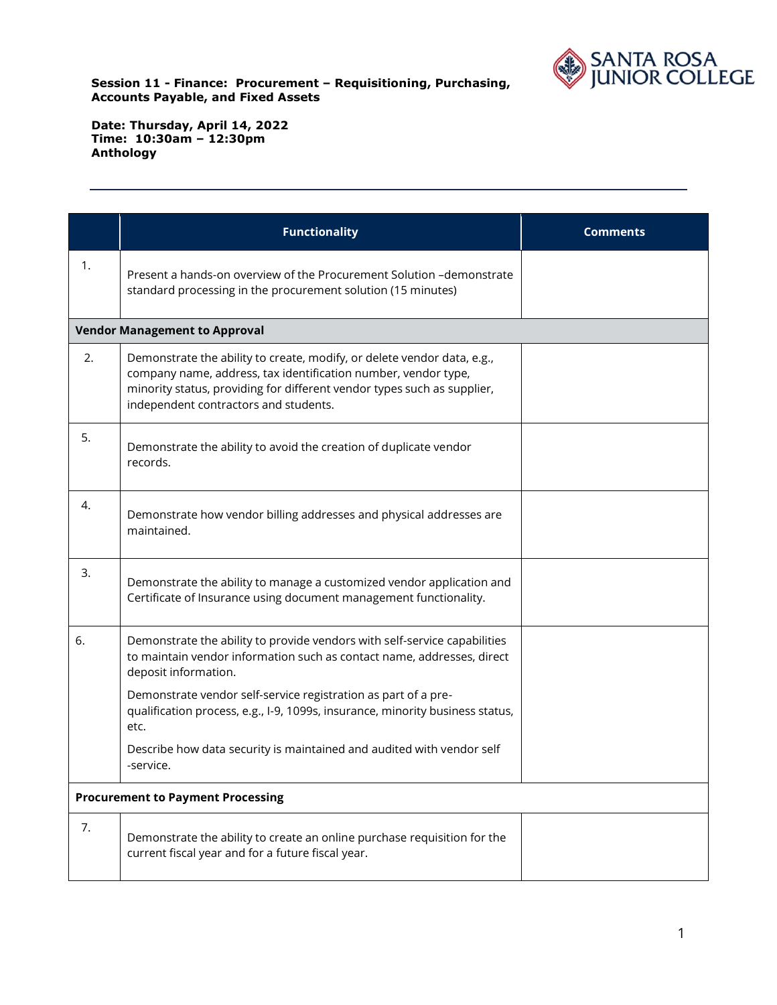

|    | <b>Functionality</b>                                                                                                                                                                                                                                          | <b>Comments</b> |
|----|---------------------------------------------------------------------------------------------------------------------------------------------------------------------------------------------------------------------------------------------------------------|-----------------|
| 1. | Present a hands-on overview of the Procurement Solution -demonstrate<br>standard processing in the procurement solution (15 minutes)                                                                                                                          |                 |
|    | <b>Vendor Management to Approval</b>                                                                                                                                                                                                                          |                 |
| 2. | Demonstrate the ability to create, modify, or delete vendor data, e.g.,<br>company name, address, tax identification number, vendor type,<br>minority status, providing for different vendor types such as supplier,<br>independent contractors and students. |                 |
| 5. | Demonstrate the ability to avoid the creation of duplicate vendor<br>records.                                                                                                                                                                                 |                 |
| 4. | Demonstrate how vendor billing addresses and physical addresses are<br>maintained.                                                                                                                                                                            |                 |
| 3. | Demonstrate the ability to manage a customized vendor application and<br>Certificate of Insurance using document management functionality.                                                                                                                    |                 |
| 6. | Demonstrate the ability to provide vendors with self-service capabilities<br>to maintain vendor information such as contact name, addresses, direct<br>deposit information.                                                                                   |                 |
|    | Demonstrate vendor self-service registration as part of a pre-<br>qualification process, e.g., I-9, 1099s, insurance, minority business status,<br>etc.                                                                                                       |                 |
|    | Describe how data security is maintained and audited with vendor self<br>-service.                                                                                                                                                                            |                 |
|    | <b>Procurement to Payment Processing</b>                                                                                                                                                                                                                      |                 |
| 7. | Demonstrate the ability to create an online purchase requisition for the<br>current fiscal year and for a future fiscal year.                                                                                                                                 |                 |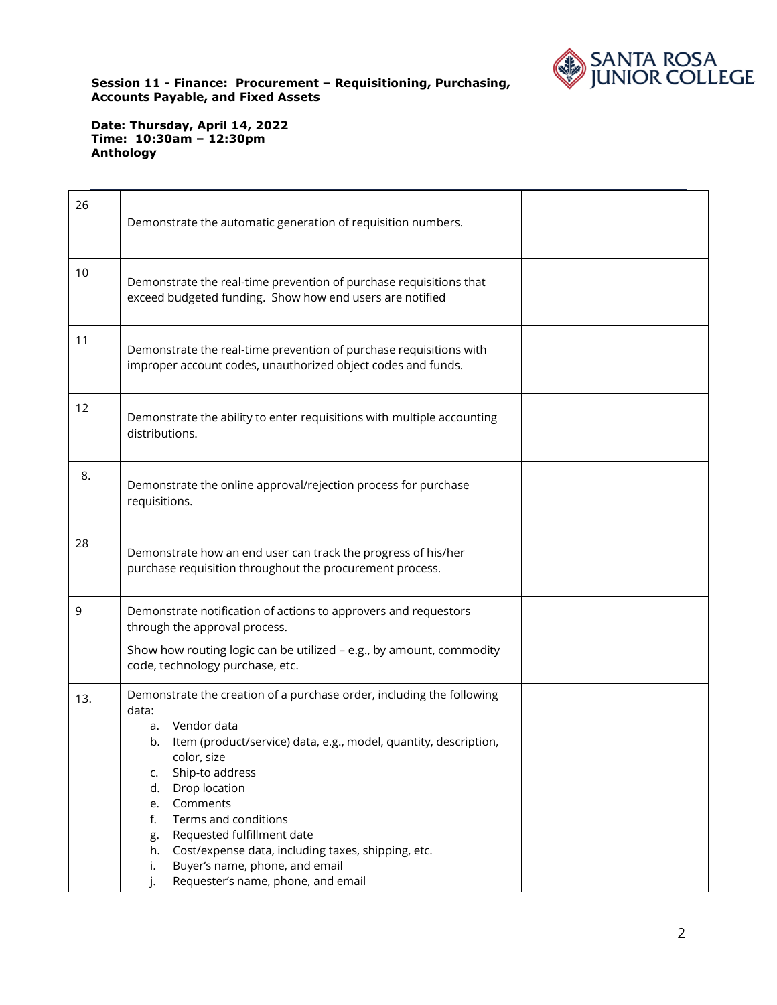

| 26  | Demonstrate the automatic generation of requisition numbers.                                                                                                                                                                                                                                                                                                                                                                                                                     |  |
|-----|----------------------------------------------------------------------------------------------------------------------------------------------------------------------------------------------------------------------------------------------------------------------------------------------------------------------------------------------------------------------------------------------------------------------------------------------------------------------------------|--|
| 10  | Demonstrate the real-time prevention of purchase requisitions that<br>exceed budgeted funding. Show how end users are notified                                                                                                                                                                                                                                                                                                                                                   |  |
| 11  | Demonstrate the real-time prevention of purchase requisitions with<br>improper account codes, unauthorized object codes and funds.                                                                                                                                                                                                                                                                                                                                               |  |
| 12  | Demonstrate the ability to enter requisitions with multiple accounting<br>distributions.                                                                                                                                                                                                                                                                                                                                                                                         |  |
| 8.  | Demonstrate the online approval/rejection process for purchase<br>requisitions.                                                                                                                                                                                                                                                                                                                                                                                                  |  |
| 28  | Demonstrate how an end user can track the progress of his/her<br>purchase requisition throughout the procurement process.                                                                                                                                                                                                                                                                                                                                                        |  |
| 9   | Demonstrate notification of actions to approvers and requestors<br>through the approval process.<br>Show how routing logic can be utilized - e.g., by amount, commodity<br>code, technology purchase, etc.                                                                                                                                                                                                                                                                       |  |
| 13. | Demonstrate the creation of a purchase order, including the following<br>data:<br>Vendor data<br>a.<br>Item (product/service) data, e.g., model, quantity, description,<br>b.<br>color, size<br>Ship-to address<br>c.<br>Drop location<br>d.<br>Comments<br>e.<br>Terms and conditions<br>f.<br>Requested fulfillment date<br>g.<br>Cost/expense data, including taxes, shipping, etc.<br>h.<br>Buyer's name, phone, and email<br>i.<br>Requester's name, phone, and email<br>j. |  |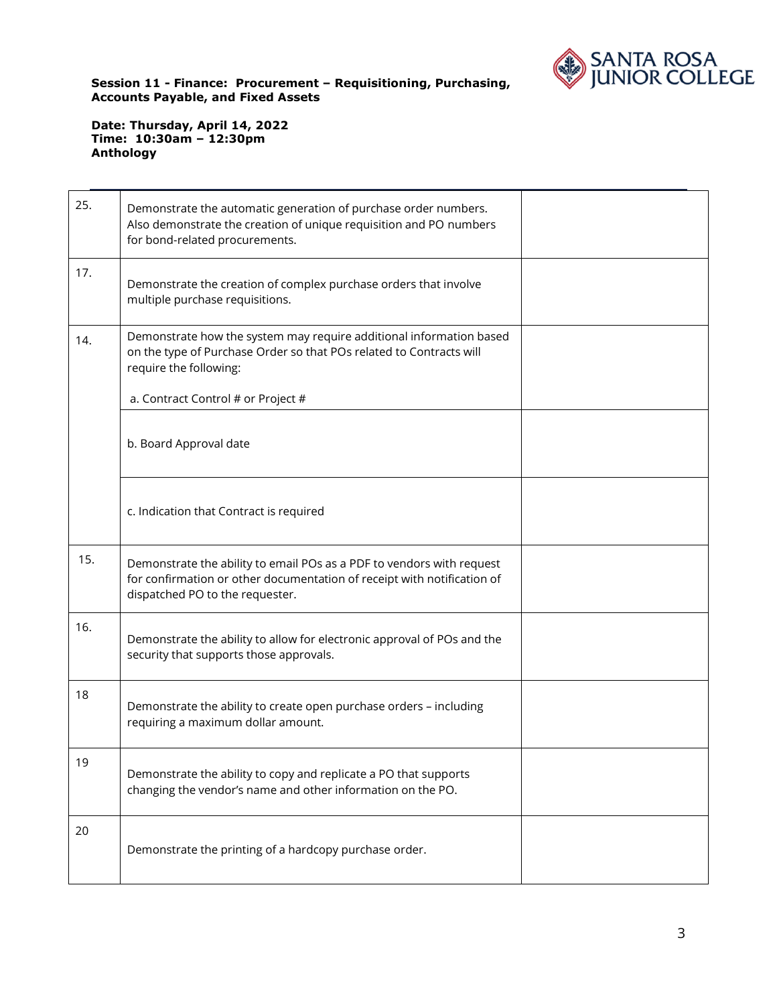

| 25. | Demonstrate the automatic generation of purchase order numbers.<br>Also demonstrate the creation of unique requisition and PO numbers<br>for bond-related procurements.             |  |
|-----|-------------------------------------------------------------------------------------------------------------------------------------------------------------------------------------|--|
| 17. | Demonstrate the creation of complex purchase orders that involve<br>multiple purchase requisitions.                                                                                 |  |
| 14. | Demonstrate how the system may require additional information based<br>on the type of Purchase Order so that POs related to Contracts will<br>require the following:                |  |
|     | a. Contract Control # or Project #                                                                                                                                                  |  |
|     | b. Board Approval date                                                                                                                                                              |  |
|     | c. Indication that Contract is required                                                                                                                                             |  |
| 15. | Demonstrate the ability to email POs as a PDF to vendors with request<br>for confirmation or other documentation of receipt with notification of<br>dispatched PO to the requester. |  |
| 16. | Demonstrate the ability to allow for electronic approval of POs and the<br>security that supports those approvals.                                                                  |  |
| 18  | Demonstrate the ability to create open purchase orders - including<br>requiring a maximum dollar amount.                                                                            |  |
| 19  | Demonstrate the ability to copy and replicate a PO that supports<br>changing the vendor's name and other information on the PO.                                                     |  |
| 20  | Demonstrate the printing of a hardcopy purchase order.                                                                                                                              |  |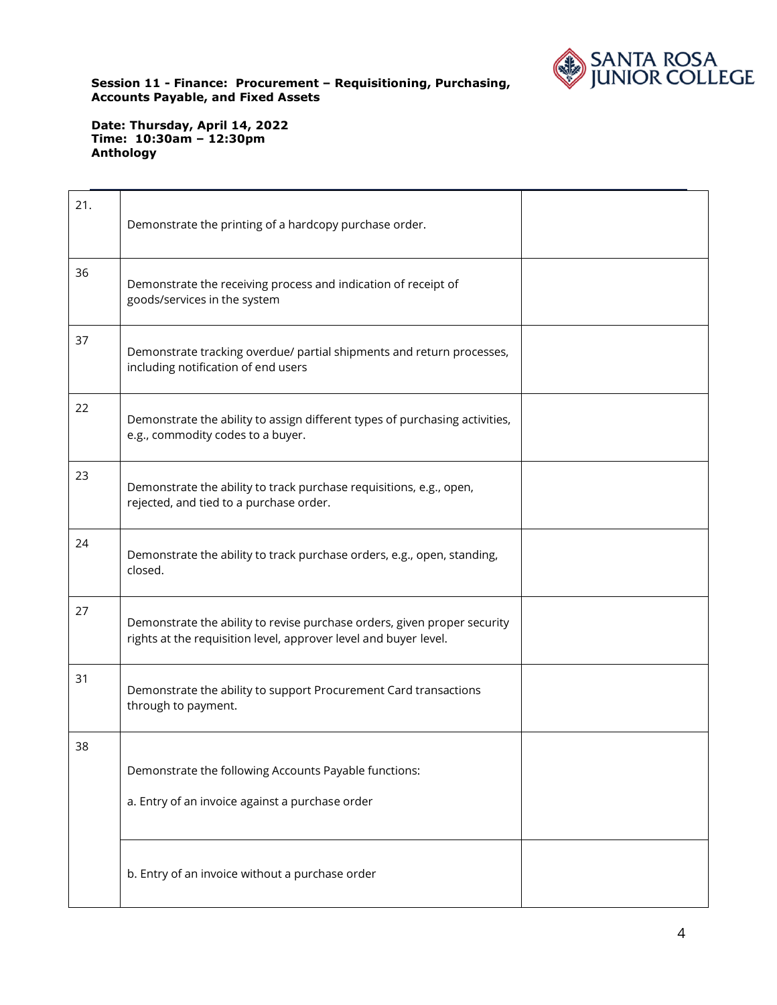

| 21. | Demonstrate the printing of a hardcopy purchase order.                                                                                       |  |
|-----|----------------------------------------------------------------------------------------------------------------------------------------------|--|
| 36  | Demonstrate the receiving process and indication of receipt of<br>goods/services in the system                                               |  |
| 37  | Demonstrate tracking overdue/ partial shipments and return processes,<br>including notification of end users                                 |  |
| 22  | Demonstrate the ability to assign different types of purchasing activities,<br>e.g., commodity codes to a buyer.                             |  |
| 23  | Demonstrate the ability to track purchase requisitions, e.g., open,<br>rejected, and tied to a purchase order.                               |  |
| 24  | Demonstrate the ability to track purchase orders, e.g., open, standing,<br>closed.                                                           |  |
| 27  | Demonstrate the ability to revise purchase orders, given proper security<br>rights at the requisition level, approver level and buyer level. |  |
| 31  | Demonstrate the ability to support Procurement Card transactions<br>through to payment.                                                      |  |
| 38  | Demonstrate the following Accounts Payable functions:                                                                                        |  |
|     | a. Entry of an invoice against a purchase order                                                                                              |  |
|     | b. Entry of an invoice without a purchase order                                                                                              |  |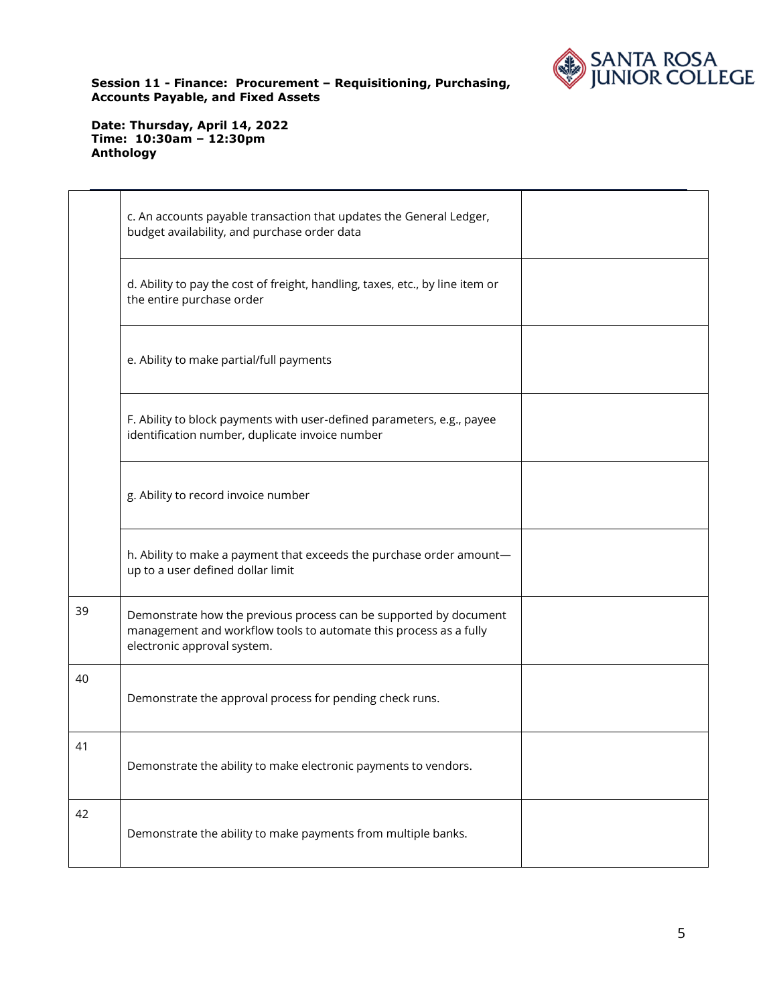

|    | c. An accounts payable transaction that updates the General Ledger,<br>budget availability, and purchase order data                                                   |  |
|----|-----------------------------------------------------------------------------------------------------------------------------------------------------------------------|--|
|    | d. Ability to pay the cost of freight, handling, taxes, etc., by line item or<br>the entire purchase order                                                            |  |
|    | e. Ability to make partial/full payments                                                                                                                              |  |
|    | F. Ability to block payments with user-defined parameters, e.g., payee<br>identification number, duplicate invoice number                                             |  |
|    | g. Ability to record invoice number                                                                                                                                   |  |
|    | h. Ability to make a payment that exceeds the purchase order amount-<br>up to a user defined dollar limit                                                             |  |
| 39 | Demonstrate how the previous process can be supported by document<br>management and workflow tools to automate this process as a fully<br>electronic approval system. |  |
| 40 | Demonstrate the approval process for pending check runs.                                                                                                              |  |
| 41 | Demonstrate the ability to make electronic payments to vendors.                                                                                                       |  |
| 42 | Demonstrate the ability to make payments from multiple banks.                                                                                                         |  |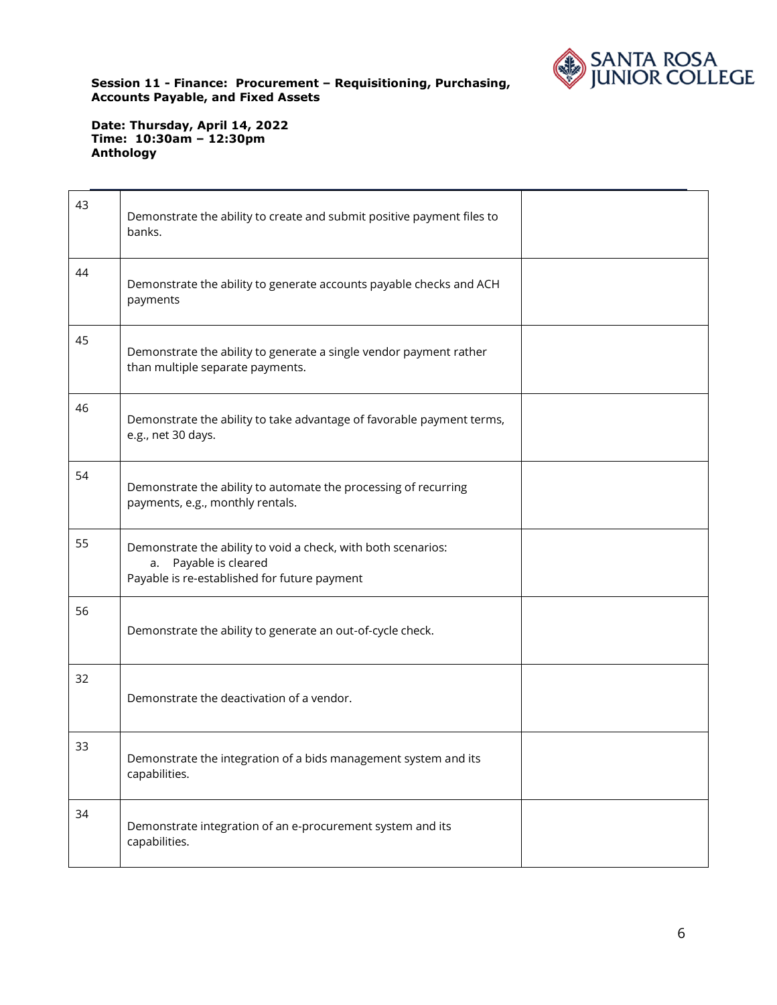

| 43 | Demonstrate the ability to create and submit positive payment files to<br>banks.                                                       |  |
|----|----------------------------------------------------------------------------------------------------------------------------------------|--|
| 44 | Demonstrate the ability to generate accounts payable checks and ACH<br>payments                                                        |  |
| 45 | Demonstrate the ability to generate a single vendor payment rather<br>than multiple separate payments.                                 |  |
| 46 | Demonstrate the ability to take advantage of favorable payment terms,<br>e.g., net 30 days.                                            |  |
| 54 | Demonstrate the ability to automate the processing of recurring<br>payments, e.g., monthly rentals.                                    |  |
| 55 | Demonstrate the ability to void a check, with both scenarios:<br>a. Payable is cleared<br>Payable is re-established for future payment |  |
| 56 | Demonstrate the ability to generate an out-of-cycle check.                                                                             |  |
| 32 | Demonstrate the deactivation of a vendor.                                                                                              |  |
| 33 | Demonstrate the integration of a bids management system and its<br>capabilities.                                                       |  |
| 34 | Demonstrate integration of an e-procurement system and its<br>capabilities.                                                            |  |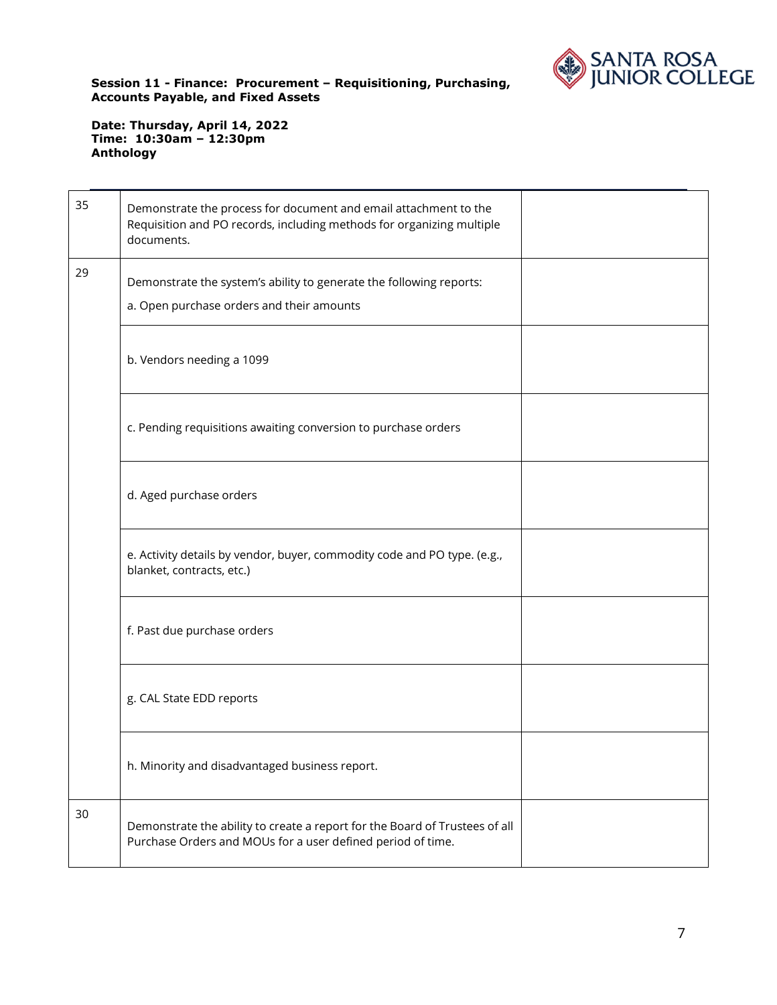

| 35 | Demonstrate the process for document and email attachment to the<br>Requisition and PO records, including methods for organizing multiple<br>documents. |  |
|----|---------------------------------------------------------------------------------------------------------------------------------------------------------|--|
| 29 | Demonstrate the system's ability to generate the following reports:<br>a. Open purchase orders and their amounts                                        |  |
|    | b. Vendors needing a 1099                                                                                                                               |  |
|    | c. Pending requisitions awaiting conversion to purchase orders                                                                                          |  |
|    | d. Aged purchase orders                                                                                                                                 |  |
|    | e. Activity details by vendor, buyer, commodity code and PO type. (e.g.,<br>blanket, contracts, etc.)                                                   |  |
|    | f. Past due purchase orders                                                                                                                             |  |
|    | g. CAL State EDD reports                                                                                                                                |  |
|    | h. Minority and disadvantaged business report.                                                                                                          |  |
| 30 | Demonstrate the ability to create a report for the Board of Trustees of all<br>Purchase Orders and MOUs for a user defined period of time.              |  |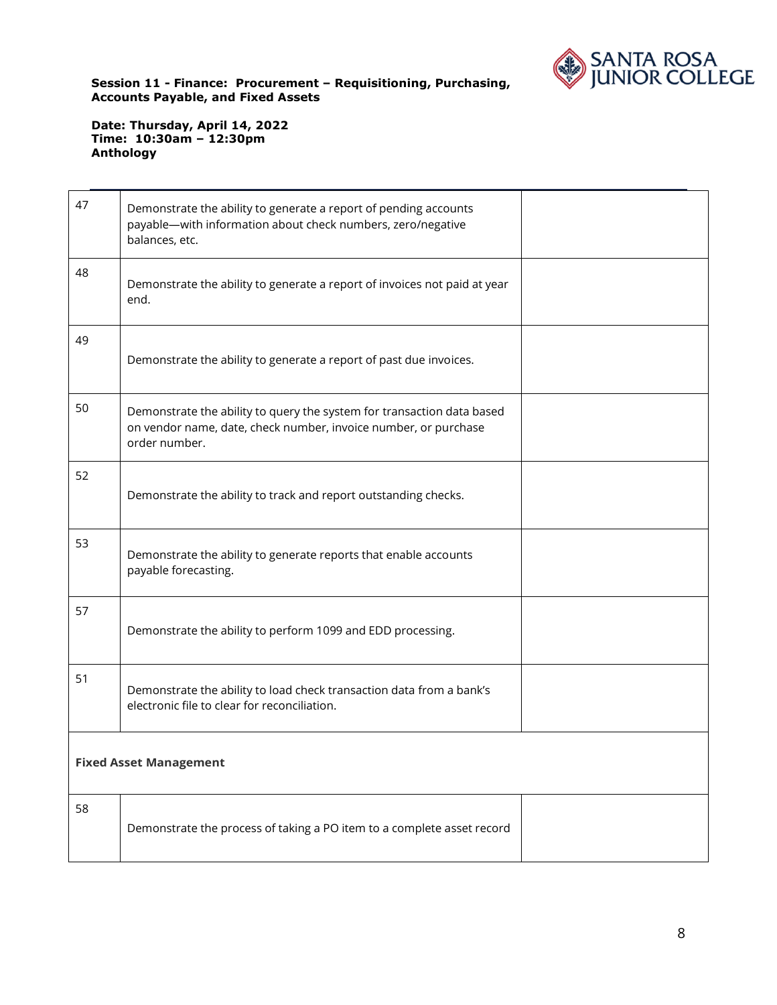

| 47 | Demonstrate the ability to generate a report of pending accounts<br>payable-with information about check numbers, zero/negative<br>balances, etc.          |  |
|----|------------------------------------------------------------------------------------------------------------------------------------------------------------|--|
| 48 | Demonstrate the ability to generate a report of invoices not paid at year<br>end.                                                                          |  |
| 49 | Demonstrate the ability to generate a report of past due invoices.                                                                                         |  |
| 50 | Demonstrate the ability to query the system for transaction data based<br>on vendor name, date, check number, invoice number, or purchase<br>order number. |  |
| 52 | Demonstrate the ability to track and report outstanding checks.                                                                                            |  |
| 53 | Demonstrate the ability to generate reports that enable accounts<br>payable forecasting.                                                                   |  |
| 57 | Demonstrate the ability to perform 1099 and EDD processing.                                                                                                |  |
| 51 | Demonstrate the ability to load check transaction data from a bank's<br>electronic file to clear for reconciliation.                                       |  |
|    | <b>Fixed Asset Management</b>                                                                                                                              |  |
| 58 | Demonstrate the process of taking a PO item to a complete asset record                                                                                     |  |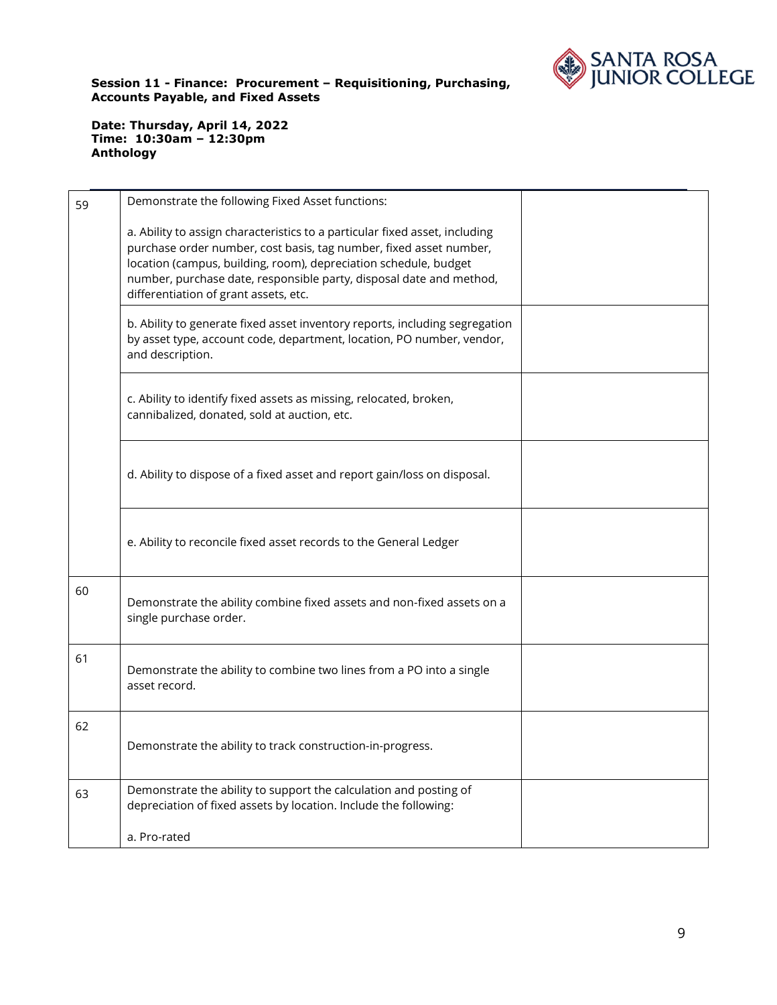

| 59 | Demonstrate the following Fixed Asset functions:                                                                                                                                                                                                                                                                                      |  |
|----|---------------------------------------------------------------------------------------------------------------------------------------------------------------------------------------------------------------------------------------------------------------------------------------------------------------------------------------|--|
|    | a. Ability to assign characteristics to a particular fixed asset, including<br>purchase order number, cost basis, tag number, fixed asset number,<br>location (campus, building, room), depreciation schedule, budget<br>number, purchase date, responsible party, disposal date and method,<br>differentiation of grant assets, etc. |  |
|    | b. Ability to generate fixed asset inventory reports, including segregation<br>by asset type, account code, department, location, PO number, vendor,<br>and description.                                                                                                                                                              |  |
|    | c. Ability to identify fixed assets as missing, relocated, broken,<br>cannibalized, donated, sold at auction, etc.                                                                                                                                                                                                                    |  |
|    | d. Ability to dispose of a fixed asset and report gain/loss on disposal.                                                                                                                                                                                                                                                              |  |
|    | e. Ability to reconcile fixed asset records to the General Ledger                                                                                                                                                                                                                                                                     |  |
| 60 | Demonstrate the ability combine fixed assets and non-fixed assets on a<br>single purchase order.                                                                                                                                                                                                                                      |  |
| 61 | Demonstrate the ability to combine two lines from a PO into a single<br>asset record.                                                                                                                                                                                                                                                 |  |
| 62 | Demonstrate the ability to track construction-in-progress.                                                                                                                                                                                                                                                                            |  |
| 63 | Demonstrate the ability to support the calculation and posting of<br>depreciation of fixed assets by location. Include the following:                                                                                                                                                                                                 |  |
|    | a. Pro-rated                                                                                                                                                                                                                                                                                                                          |  |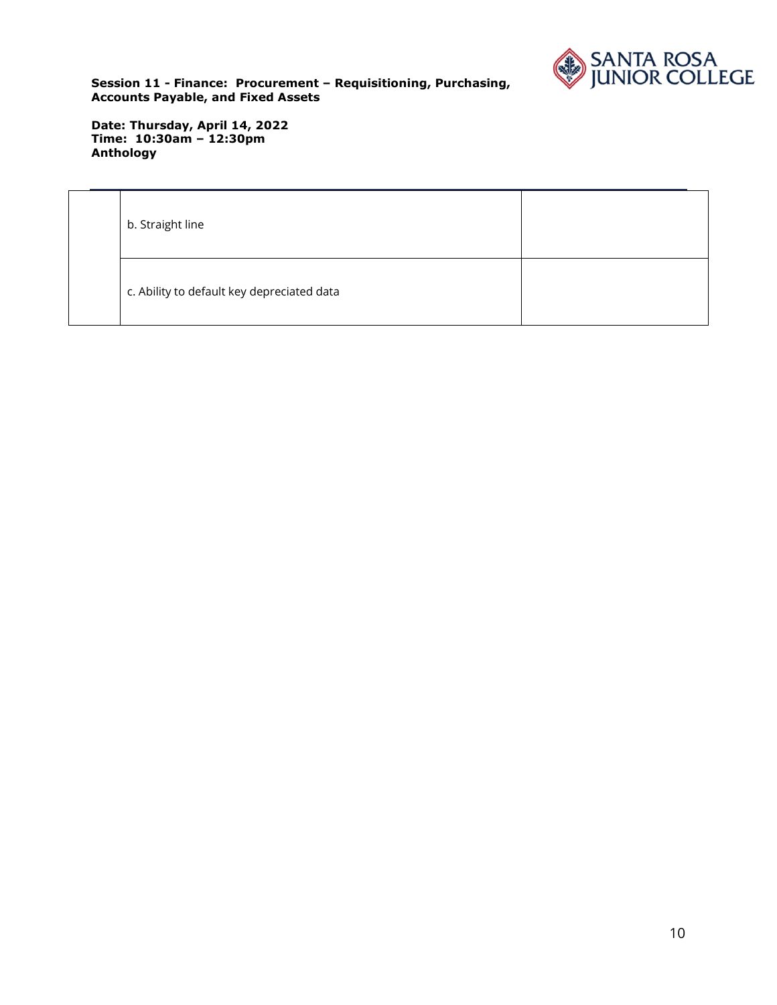

| b. Straight line                           |  |
|--------------------------------------------|--|
| c. Ability to default key depreciated data |  |